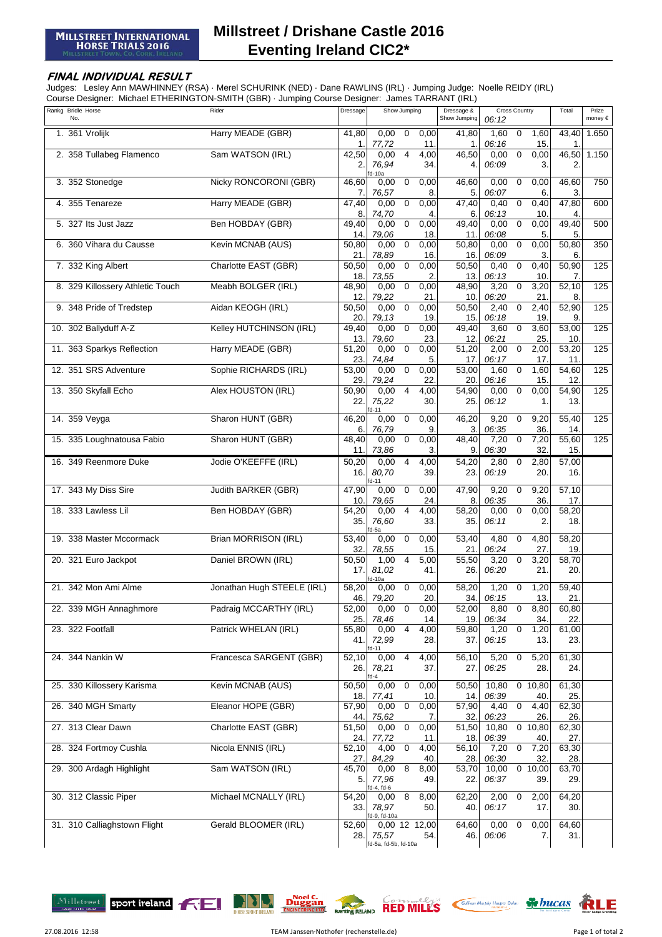## **Millstreet / Drishane Castle 2016 Eventing Ireland CIC2\***

## **FINAL INDIVIDUAL RESULT**

Judges: Lesley Ann MAWHINNEY (RSA) · Merel SCHURINK (NED) · Dane RAWLINS (IRL) · Jumping Judge: Noelle REIDY (IRL) Course Designer: Michael ETHERINGTON-SMITH (GBR) · Jumping Course Designer: James TARRANT (IRL)

| Rankg Bridle Horse<br>No.        | Rider                      | Dressage                 | Show Jumping                                                         | Dressage &<br>Show Jumping | <b>Cross Country</b><br>06:12                    | Total                    | Prize<br>money € |
|----------------------------------|----------------------------|--------------------------|----------------------------------------------------------------------|----------------------------|--------------------------------------------------|--------------------------|------------------|
| 1. 361 Vrolijk                   | Harry MEADE (GBR)          | 41,80                    | 0,00<br>$\mathbf 0$<br>0,00                                          | 41,80                      | $\mathbf 0$<br>1,60<br>1,60                      | 43,40                    | 1.650            |
| 2. 358 Tullabeg Flamenco         | Sam WATSON (IRL)           | 1.<br>42,50<br>2.        | 77,72<br>11.<br>0,00<br>4,00<br>4<br>76,94<br>34.                    | 1.<br>46,50<br>4.          | 06:16<br>15.<br>0,00<br>0,00<br>0<br>06:09<br>3. | 1.<br>2.                 | 46,50 1.150      |
| 3. 352 Stonedge                  | Nicky RONCORONI (GBR)      | 46,60<br>7.              | d-10a<br>$\mathbf 0$<br>0,00<br>0,00<br>76,57<br>8.                  | 46,60<br>5.                | 0,00<br>$\mathbf 0$<br>0,00<br>06:07<br>6.       | 46,60<br>3.              | 750              |
| 4. 355 Tenareze                  | Harry MEADE (GBR)          | 47,40<br>8.              | 0,00<br>0,00<br>$\mathbf 0$<br>74,70<br>4.                           | 47,40<br>6.                | 0,40<br>0,40<br>0<br>06:13<br>10.                | 47,80<br>4.              | 600              |
| 5. 327 Its Just Jazz             | Ben HOBDAY (GBR)           | 49,40<br>14.             | 0,00<br>0,00<br>$\mathbf 0$<br>79,06<br>18.                          | 49,40<br>11.               | $\mathbf 0$<br>0,00<br>0,00<br>06:08<br>5.       | 49,40<br>5.              | 500              |
| 6. 360 Vihara du Causse          | Kevin MCNAB (AUS)          | 50,80<br>21.             | 0,00<br>$\mathbf 0$<br>0,00<br>78,89<br>16.                          | 50,80<br>16.               | 0,00<br>$\mathbf 0$<br>0,00<br>06:09<br>3.       | 50,80<br>6.              | 350              |
| 7. 332 King Albert               | Charlotte EAST (GBR)       | 50,50<br>18.             | $\overline{0}$<br>0,00<br>0,00<br>73,55<br>2.                        | 50,50<br>13.               | $\mathbf 0$<br>0,40<br>0,40<br>06:13<br>10.      | 50,90<br>7.              | 125              |
| 8. 329 Killossery Athletic Touch | Meabh BOLGER (IRL)         | 48,90<br>12.             | $\pmb{0}$<br>0,00<br>0,00<br>79,22<br>21                             | 48,90<br>10 <sub>1</sub>   | 3,20<br>0<br>3,20<br>06:20<br>21                 | 52,10                    | 125              |
| 9. 348 Pride of Tredstep         | Aidan KEOGH (IRL)          | 50,50<br>20.             | $\mathbf 0$<br>0,00<br>0,00<br>79,13<br>19.                          | 50,50<br>15.               | 2,40<br>2,40<br>0<br>06:18<br>19.                | 52,90<br>9.              | 125              |
| 10. 302 Ballyduff A-Z            | Kelley HUTCHINSON (IRL)    | 49,40<br>13.             | 0,00<br>$\mathbf 0$<br>0,00<br>79,60<br>23.                          | 49,40<br>12.               | 3,60<br>0<br>3,60<br>06:21<br>25.                | 53,00<br>10 <sub>1</sub> | 125              |
| 11. 363 Sparkys Reflection       | Harry MEADE (GBR)          | 51,20<br>23.             | 0,00<br>$\mathbf 0$<br>0,00<br>74,84<br>5.                           | 51,20<br>17.               | 2,00<br>2,00<br>$\mathbf 0$<br>06:17<br>17.      | 53,20<br>11.             | 125              |
| 12. 351 SRS Adventure            | Sophie RICHARDS (IRL)      | 53,00<br>29.             | 0,00<br>$\mathbf 0$<br>0,00<br>79,24<br>22.                          | 53,00<br>20                | 1,60<br>1,60<br>$\mathbf 0$<br>06:16<br>15.      | 54,60<br>12.             | 125              |
| 13. 350 Skyfall Echo             | Alex HOUSTON (IRL)         | 50,90<br>22.             | 0,00<br>$\overline{4}$<br>4,00<br>75,22<br>30.<br>d-11               | 54,90<br>25.               | 0,00<br>0,00<br>$\mathbf 0$<br>06:12<br>1.       | 54,90<br>13.             | 125              |
| 14. 359 Veyga                    | Sharon HUNT (GBR)          | 46,20<br>6.              | $\overline{0}$<br>0,00<br>0,00<br>76,79<br>9.                        | 46,20<br>3.                | 9,20<br>9,20<br>$\mathbf 0$<br>36.<br>06:35      | 55,40<br>14.             | 125              |
| 15. 335 Loughnatousa Fabio       | Sharon HUNT (GBR)          | 48,40<br>11.             | 0,00<br>$\mathbf 0$<br>0,00<br>73,86<br>3.                           | 48,40<br>9.                | 7,20<br>$\mathbf 0$<br>7,20<br>06:30<br>32.      | 55,60<br>15.             | 125              |
| 16. 349 Reenmore Duke            | Jodie O'KEEFFE (IRL)       | 50,20<br>16.             | $\overline{4}$<br>0,00<br>4,00<br>80,70<br>39.<br>$d-11$             | 54,20<br>23.               | 2,80<br>0<br>2,80<br>06:19<br>20.                | 57,00<br>16.             |                  |
| 17. 343 My Diss Sire             | Judith BARKER (GBR)        | 47,90<br>10.             | 0,00<br>$\mathbf 0$<br>0,00<br>79,65<br>24.                          | 47,90<br>8.                | 9,20<br>$\mathbf 0$<br>9,20<br>36.<br>06:35      | 57,10<br>17.             |                  |
| 18. 333 Lawless Lil              | Ben HOBDAY (GBR)           | 54,20<br>35.             | 0,00<br>$\overline{4}$<br>4,00<br>76,60<br>33.<br>d-5a               | 58,20<br>35.               | 0,00<br>$\mathbf 0$<br>0,00<br>06:11<br>2.       | 58,20<br>18.             |                  |
| 19. 338 Master Mccormack         | Brian MORRISON (IRL)       | 53,40<br>32.             | 0,00<br>0,00<br>$\overline{0}$<br>78,55<br>15.                       | 53,40<br>21.               | 4,80<br>0<br>4,80<br>06:24<br>27.                | 58,20<br>19.             |                  |
| 20. 321 Euro Jackpot             | Daniel BROWN (IRL)         | 50,50<br>17.             | $\overline{4}$<br>$\overline{1,00}$<br>5,00<br>81,02<br>41.<br>d-10a | 55,50<br>26.               | $\mathbf 0$<br>3,20<br>3,20<br>06:20<br>21.      | 58,70<br>20.             |                  |
| 21. 342 Mon Ami Alme             | Jonathan Hugh STEELE (IRL) | 58,20<br>46.             | 0,00<br>0<br>0,00<br>20.<br>79,20                                    | 58,20<br>34.               | 1,20<br>$\mathbf 0$<br>1,20<br>13.<br>06:15      | 59,40<br>21.             |                  |
| 22. 339 MGH Annaghmore           | Padraig MCCARTHY (IRL)     | 52,00<br>25.             | 0,00<br>$\overline{0}$<br>0,00<br>78,46<br>14.                       | 52,00<br>19.               | 8,80<br>$\mathbf 0$<br>8,80<br>06:34<br>34.      | 60,80<br>22.             |                  |
| 23. 322 Footfall                 | Patrick WHELAN (IRL)       | 55,80<br>41.             | 0,00<br>4<br>4,00<br>72,99<br>28.<br>$d-11$                          | 59,80<br>37.               | 1,20<br>$\mathbf 0$<br>1,20<br>06:15<br>13.      | 61,00<br>23.             |                  |
| 24. 344 Nankin W                 | Francesca SARGENT (GBR)    | 52,10<br>26.             | 0,00<br>4,00<br>4<br>78,21<br>37.<br>$d-4$                           | 56,10<br>27.               | 5,20<br>0<br>5,20<br>06:25<br>28.                | 61,30<br>24.             |                  |
| 25. 330 Killossery Karisma       | Kevin MCNAB (AUS)          | 50,50<br>18.             | 0,00<br>0,00<br>$\mathbf 0$<br>10.<br>77,41                          | 50,50<br>14.               | 10,80<br>$0$ 10,80<br>06:39<br>40.               | 61,30<br>25.             |                  |
| 26. 340 MGH Smarty               | Eleanor HOPE (GBR)         | 57,90<br>44.             | 0,00<br>$\pmb{0}$<br>0,00<br>75,62<br>7.                             | $\frac{1}{57,90}$<br>32.   | $\pmb{0}$<br>4,40<br>4,40<br>06:23<br>26.        | 62,30<br>26.             |                  |
| 27. 313 Clear Dawn               | Charlotte EAST (GBR)       | $\frac{1}{51,50}$<br>24. | $\mathbf 0$<br>0,00<br>0,00<br>77,72<br>11.                          | 51,50<br>18.               | 10,80<br>$\mathbf 0$<br>10,80<br>06:39<br>40.    | 62,30<br>27.             |                  |
| 28. 324 Fortmoy Cushla           | Nicola ENNIS (IRL)         | 52,10<br>27.             | 4,00<br>$\mathbf 0$<br>4,00<br>84,29<br>40.                          | 56,10<br>28.               | $\mathbf 0$<br>7,20<br>7,20<br>06:30<br>32.      | 63,30<br>28.             |                  |
| 29. 300 Ardagh Highlight         | Sam WATSON (IRL)           | 45,70<br>5.              | $\overline{\mathbf{8}}$<br>0,00<br>8,00<br>77,96<br>49.<br>d-4, fd-6 | 53,70<br>22.               | 10,00<br>0,10,00<br>06:37<br>39.                 | 63,70<br>29.             |                  |
| 30. 312 Classic Piper            | Michael MCNALLY (IRL)      | 54,20<br>33.             | 8<br>0,00<br>8,00<br>78,97<br>50.<br>d-9, fd-10a                     | 62,20<br>40.               | 2,00<br>$\mathbf 0$<br>2,00<br>06:17<br>17.      | 64,20<br>30.             |                  |
| 31. 310 Calliaghstown Flight     | Gerald BLOOMER (IRL)       | 52,60<br>28.             | 0,00 12 12,00<br>75,57<br>54.<br>fd-5a, fd-5b, fd-10a                | 64,60<br>46.               | 0,00<br>$\mathbf 0$<br>0,00<br>06:06<br>7.       | 64,60<br>31.             |                  |